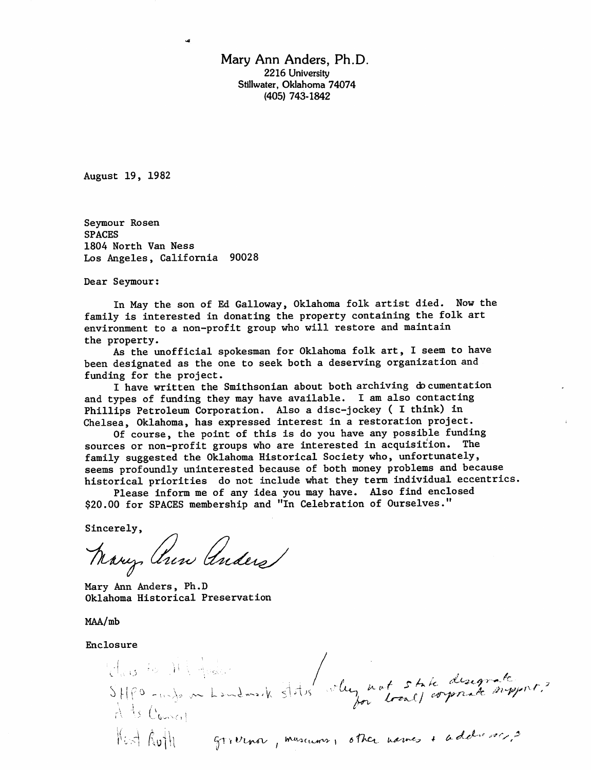Mary Ann Anders, Ph.D. 2216 University Stillwater, Oklahoma 74074 (405) 743-1842

August 19, 1982

Seymour Rosen SPACES 1804 North Van Ness Los Angeles, California 90028

Dear Seymour:

In May the son of Ed Galloway, Oklahoma folk artist died. Now the family is interested in donating the property containing the folk art environment to a non-profit group who will restore and maintain the property.

As the unofficial spokesman for Oklahoma folk art, I seem to have been designated as the one to seek both a deserving organization and funding for the project.

I have written the Smithsonian about both archiving do cumentation and types of funding they may have available. I am also contacting Phillips Petroleum Corporation. Also a disc-jockey ( I think) in Chelsea, Oklahoma, has expressed interest in a restoration project.

Of course, the point of this is do you have any possible funding sources or non-profit groups who are interested in acquisition. The family suggested the Oklahoma Historical Society who, unfortunately, seems profoundly uninterested because of both money problems and because historical priorities do not include what they term individual eccentrics.

Please inform me of any idea you may have. Also find enclosed \$20.00 for SPACES membership and "In Celebration of Ourselves."

Sincerely,<br>Nany, Ann Anders

Mary Ann Anders, Ph.D Oklahoma Historical Preservation

MAA/mb

Enclosure

'  $f_L$  *wit state* C Kut Ruth grivina, museums, other names + addresses,